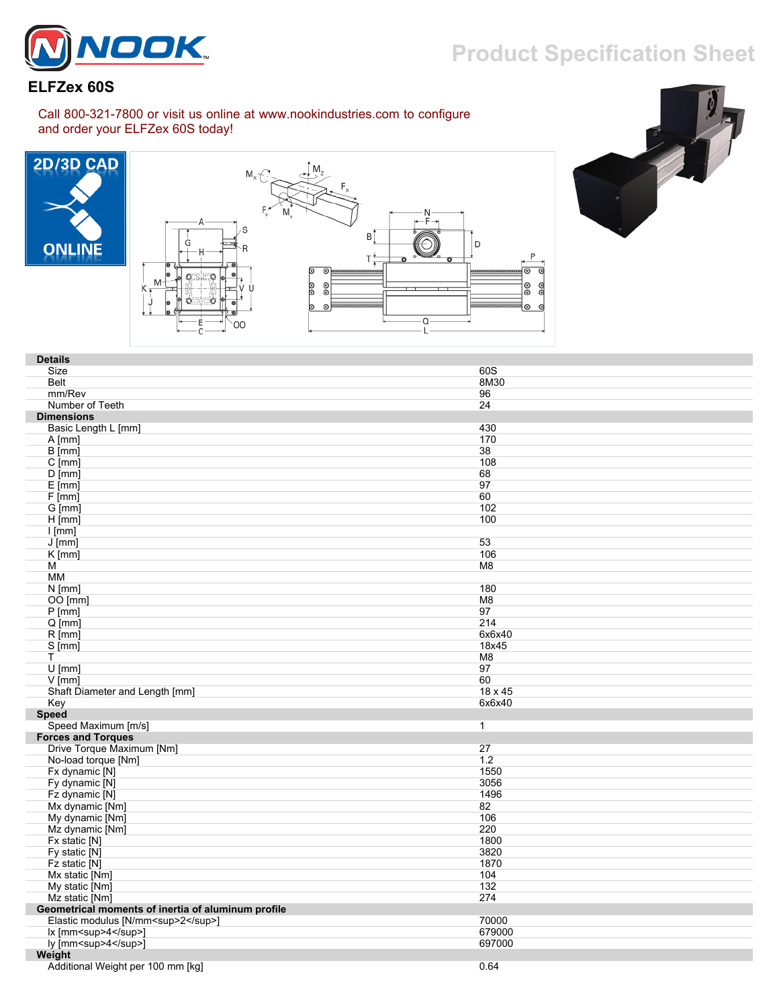

## **Product Specification Sheet**

## **ELFZex 60S**

Call 800-321-7800 or visit us online at www.nookindustries.com to configure and order your ELFZex 60S today!







| <b>Details</b>                                     |                |
|----------------------------------------------------|----------------|
| Size                                               | 60S            |
| <b>Belt</b>                                        | 8M30           |
| mm/Rev                                             | 96             |
| Number of Teeth                                    | 24             |
|                                                    |                |
| <b>Dimensions</b>                                  |                |
| Basic Length L [mm]                                | 430            |
| $A$ [mm]                                           | 170            |
| $B$ [mm]                                           | 38             |
| $C$ [mm]                                           | 108            |
| $D$ [mm]                                           | 68             |
| $E$ [mm]                                           | 97             |
| F[mm]                                              | 60             |
| G [mm]                                             | 102            |
| $H$ [mm]                                           | 100            |
| [mm]                                               |                |
| $J$ [mm]                                           | 53             |
| $K$ [mm]                                           | 106            |
| M                                                  | M8             |
| MM                                                 |                |
| $N$ [mm]                                           | 180            |
| OO [mm]                                            | M <sub>8</sub> |
| P[mm]                                              | 97             |
| $Q$ [mm]                                           | 214            |
| $R$ [mm]                                           | 6x6x40         |
| S [mm]                                             | 18x45          |
| т                                                  | M8             |
| $U$ [mm]                                           | 97             |
| $V$ [mm]                                           | 60             |
| Shaft Diameter and Length [mm]                     | 18 x 45        |
| Key                                                | 6x6x40         |
| <b>Speed</b>                                       |                |
| Speed Maximum [m/s]                                | $\mathbf{1}$   |
| <b>Forces and Torques</b>                          |                |
| Drive Torque Maximum [Nm]                          | 27             |
| No-load torque [Nm]                                | 1.2            |
| Fx dynamic [N]                                     | 1550           |
| Fy dynamic [N]                                     | 3056           |
| Fz dynamic [N]                                     | 1496           |
| Mx dynamic [Nm]                                    | 82             |
| My dynamic [Nm]                                    | 106            |
| Mz dynamic [Nm]                                    | 220            |
| Fx static [N]                                      | 1800           |
| Fy static [N]                                      | 3820           |
| Fz static [N]                                      | 1870           |
| Mx static [Nm]                                     | 104            |
| My static [Nm]                                     | 132            |
| Mz static [Nm]                                     | 274            |
| Geometrical moments of inertia of aluminum profile |                |
| Elastic modulus [N/mm <sup>2</sup> ]               | 70000          |
|                                                    |                |
| lx [mm <sup>4</sup> ]                              | 679000         |
| ly [mm <sup>4</sup> ]                              | 697000         |
| Weight                                             |                |

Additional Weight per 100 mm [kg] 0.64